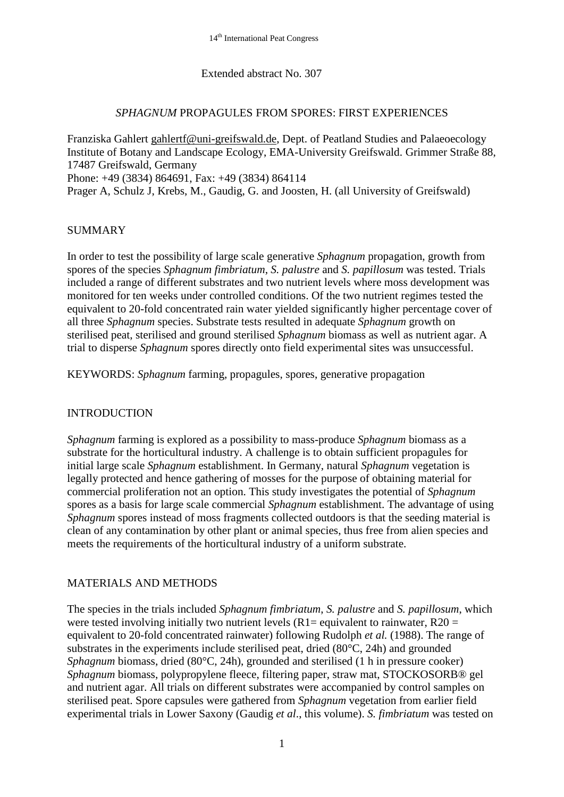### Extended abstract No. 307

#### *SPHAGNUM* PROPAGULES FROM SPORES: FIRST EXPERIENCES

Franziska Gahlert [gahlertf@uni-greifswald.de,](mailto:gahlertf@uni-greifswald.de) Dept. of Peatland Studies and Palaeoecology Institute of Botany and Landscape Ecology, EMA-University Greifswald. Grimmer Straße 88, 17487 Greifswald, Germany Phone: +49 (3834) 864691, Fax: +49 (3834) 864114 Prager A, Schulz J, Krebs, M., Gaudig, G. and Joosten, H. (all University of Greifswald)

## SUMMARY

In order to test the possibility of large scale generative *Sphagnum* propagation, growth from spores of the species *Sphagnum fimbriatum*, *S. palustre* and *S. papillosum* was tested. Trials included a range of different substrates and two nutrient levels where moss development was monitored for ten weeks under controlled conditions. Of the two nutrient regimes tested the equivalent to 20-fold concentrated rain water yielded significantly higher percentage cover of all three *Sphagnum* species. Substrate tests resulted in adequate *Sphagnum* growth on sterilised peat, sterilised and ground sterilised *Sphagnum* biomass as well as nutrient agar. A trial to disperse *Sphagnum* spores directly onto field experimental sites was unsuccessful.

KEYWORDS: *Sphagnum* farming, propagules, spores, generative propagation

### INTRODUCTION

*Sphagnum* farming is explored as a possibility to mass-produce *Sphagnum* biomass as a substrate for the horticultural industry. A challenge is to obtain sufficient propagules for initial large scale *Sphagnum* establishment. In Germany, natural *Sphagnum* vegetation is legally protected and hence gathering of mosses for the purpose of obtaining material for commercial proliferation not an option. This study investigates the potential of *Sphagnum* spores as a basis for large scale commercial *Sphagnum* establishment. The advantage of using *Sphagnum* spores instead of moss fragments collected outdoors is that the seeding material is clean of any contamination by other plant or animal species, thus free from alien species and meets the requirements of the horticultural industry of a uniform substrate.

# MATERIALS AND METHODS

The species in the trials included *Sphagnum fimbriatum*, *S. palustre* and *S. papillosum*, which were tested involving initially two nutrient levels (R1= equivalent to rainwater, R20 = equivalent to 20-fold concentrated rainwater) following Rudolph *et al.* (1988). The range of substrates in the experiments include sterilised peat, dried (80°C, 24h) and grounded *Sphagnum* biomass, dried (80°C, 24h), grounded and sterilised (1 h in pressure cooker) *Sphagnum* biomass, polypropylene fleece, filtering paper, straw mat, STOCKOSORB® gel and nutrient agar. All trials on different substrates were accompanied by control samples on sterilised peat. Spore capsules were gathered from *Sphagnum* vegetation from earlier field experimental trials in Lower Saxony (Gaudig *et al*., this volume). *S. fimbriatum* was tested on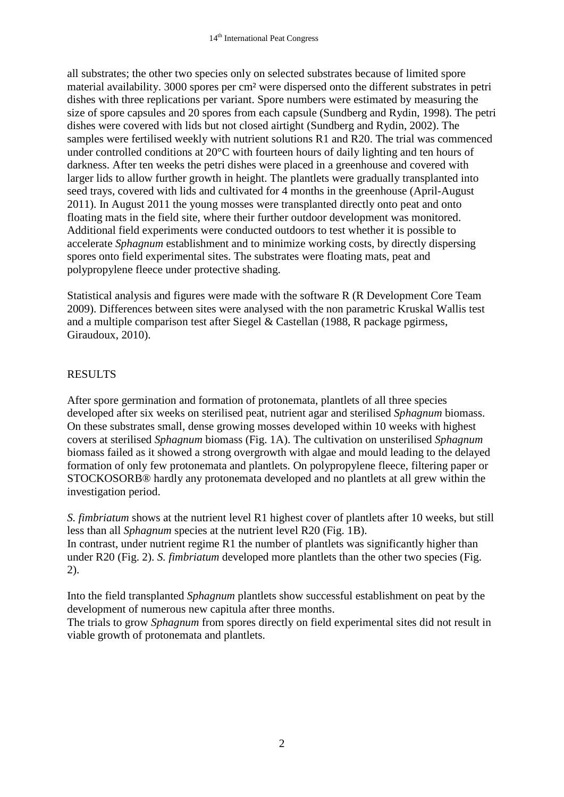all substrates; the other two species only on selected substrates because of limited spore material availability. 3000 spores per cm² were dispersed onto the different substrates in petri dishes with three replications per variant. Spore numbers were estimated by measuring the size of spore capsules and 20 spores from each capsule (Sundberg and Rydin, 1998). The petri dishes were covered with lids but not closed airtight (Sundberg and Rydin, 2002). The samples were fertilised weekly with nutrient solutions R1 and R20. The trial was commenced under controlled conditions at 20°C with fourteen hours of daily lighting and ten hours of darkness. After ten weeks the petri dishes were placed in a greenhouse and covered with larger lids to allow further growth in height. The plantlets were gradually transplanted into seed trays, covered with lids and cultivated for 4 months in the greenhouse (April-August 2011). In August 2011 the young mosses were transplanted directly onto peat and onto floating mats in the field site, where their further outdoor development was monitored. Additional field experiments were conducted outdoors to test whether it is possible to accelerate *Sphagnum* establishment and to minimize working costs, by directly dispersing spores onto field experimental sites. The substrates were floating mats, peat and polypropylene fleece under protective shading.

Statistical analysis and figures were made with the software R (R Development Core Team 2009). Differences between sites were analysed with the non parametric Kruskal Wallis test and a multiple comparison test after Siegel & Castellan (1988, R package pgirmess, Giraudoux, 2010).

# RESULTS

After spore germination and formation of protonemata, plantlets of all three species developed after six weeks on sterilised peat, nutrient agar and sterilised *Sphagnum* biomass. On these substrates small, dense growing mosses developed within 10 weeks with highest covers at sterilised *Sphagnum* biomass (Fig. 1A). The cultivation on unsterilised *Sphagnum*  biomass failed as it showed a strong overgrowth with algae and mould leading to the delayed formation of only few protonemata and plantlets. On polypropylene fleece, filtering paper or STOCKOSORB® hardly any protonemata developed and no plantlets at all grew within the investigation period.

*S. fimbriatum* shows at the nutrient level R1 highest cover of plantlets after 10 weeks, but still less than all *Sphagnum* species at the nutrient level R20 (Fig. 1B). In contrast, under nutrient regime R1 the number of plantlets was significantly higher than under R20 (Fig. 2). *S. fimbriatum* developed more plantlets than the other two species (Fig. 2).

Into the field transplanted *Sphagnum* plantlets show successful establishment on peat by the development of numerous new capitula after three months.

The trials to grow *Sphagnum* from spores directly on field experimental sites did not result in viable growth of protonemata and plantlets.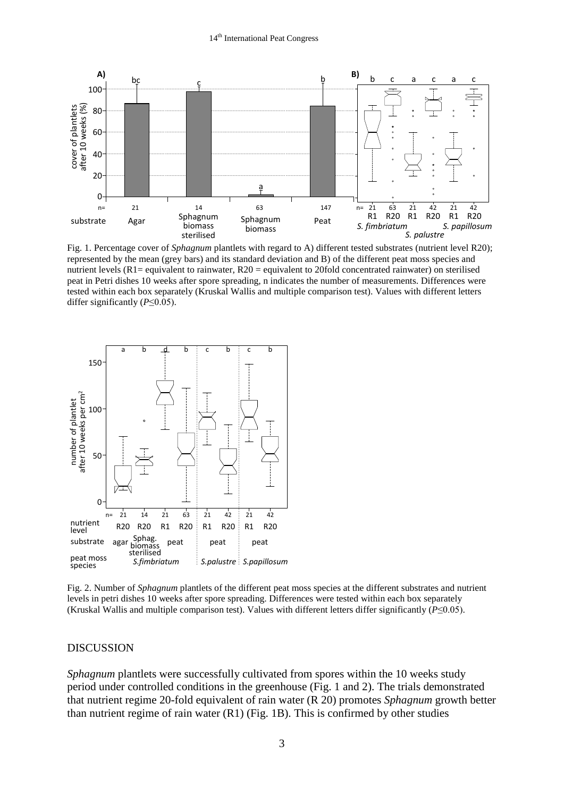

Fig. 1. Percentage cover of *Sphagnum* plantlets with regard to A) different tested substrates (nutrient level R20); represented by the mean (grey bars) and its standard deviation and B) of the different peat moss species and nutrient levels (R1= equivalent to rainwater, R20 = equivalent to 20fold concentrated rainwater) on sterilised peat in Petri dishes 10 weeks after spore spreading, n indicates the number of measurements. Differences were tested within each box separately (Kruskal Wallis and multiple comparison test). Values with different letters differ significantly (*P*≤0.05).



Fig. 2. Number of *Sphagnum* plantlets of the different peat moss species at the different substrates and nutrient levels in petri dishes 10 weeks after spore spreading. Differences were tested within each box separately (Kruskal Wallis and multiple comparison test). Values with different letters differ significantly (*P*≤0.05).

#### DISCUSSION

*Sphagnum* plantlets were successfully cultivated from spores within the 10 weeks study period under controlled conditions in the greenhouse (Fig. 1 and 2). The trials demonstrated that nutrient regime 20-fold equivalent of rain water (R 20) promotes *Sphagnum* growth better than nutrient regime of rain water (R1) (Fig. 1B). This is confirmed by other studies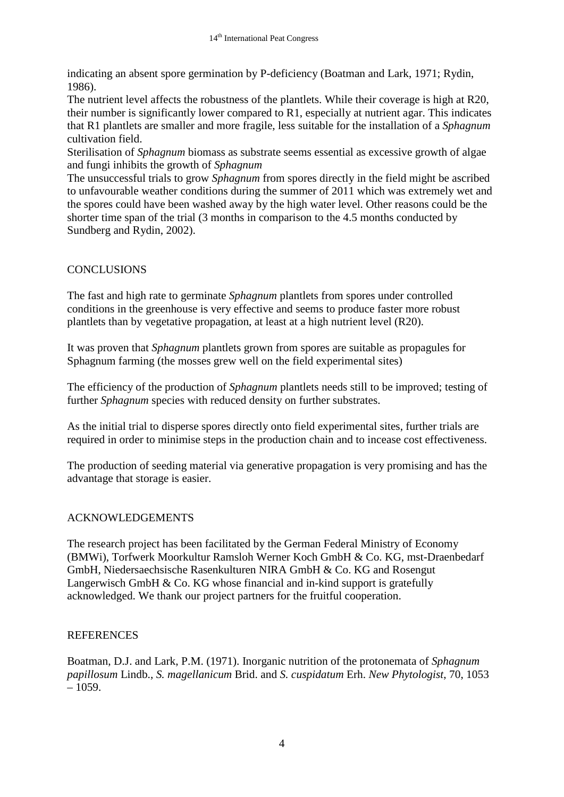indicating an absent spore germination by P-deficiency (Boatman and Lark, 1971; Rydin, 1986).

The nutrient level affects the robustness of the plantlets. While their coverage is high at R20, their number is significantly lower compared to R1, especially at nutrient agar. This indicates that R1 plantlets are smaller and more fragile, less suitable for the installation of a *Sphagnum* cultivation field.

Sterilisation of *Sphagnum* biomass as substrate seems essential as excessive growth of algae and fungi inhibits the growth of *Sphagnum*

The unsuccessful trials to grow *Sphagnum* from spores directly in the field might be ascribed to unfavourable weather conditions during the summer of 2011 which was extremely wet and the spores could have been washed away by the high water level. Other reasons could be the shorter time span of the trial (3 months in comparison to the 4.5 months conducted by Sundberg and Rydin, 2002).

# **CONCLUSIONS**

The fast and high rate to germinate *Sphagnum* plantlets from spores under controlled conditions in the greenhouse is very effective and seems to produce faster more robust plantlets than by vegetative propagation, at least at a high nutrient level (R20).

It was proven that *Sphagnum* plantlets grown from spores are suitable as propagules for Sphagnum farming (the mosses grew well on the field experimental sites)

The efficiency of the production of *Sphagnum* plantlets needs still to be improved; testing of further *Sphagnum* species with reduced density on further substrates.

As the initial trial to disperse spores directly onto field experimental sites, further trials are required in order to minimise steps in the production chain and to incease cost effectiveness.

The production of seeding material via generative propagation is very promising and has the advantage that storage is easier.

# ACKNOWLEDGEMENTS

The research project has been facilitated by the German Federal Ministry of Economy (BMWi), Torfwerk Moorkultur Ramsloh Werner Koch GmbH & Co. KG, mst-Draenbedarf GmbH, Niedersaechsische Rasenkulturen NIRA GmbH & Co. KG and Rosengut Langerwisch GmbH & Co. KG whose financial and in-kind support is gratefully acknowledged. We thank our project partners for the fruitful cooperation.

### REFERENCES

Boatman, D.J. and Lark, P.M. (1971). Inorganic nutrition of the protonemata of *Sphagnum papillosum* Lindb., *S. magellanicum* Brid. and *S. cuspidatum* Erh. *New Phytologist*, 70, 1053  $-1059.$